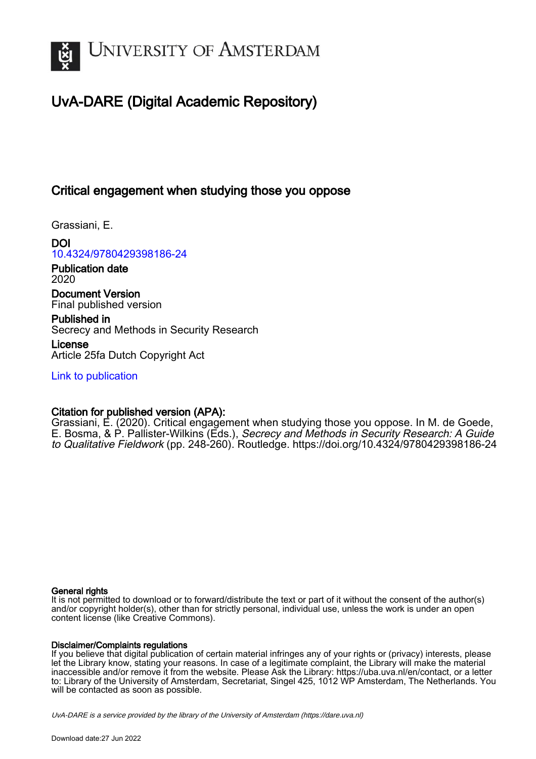

# UvA-DARE (Digital Academic Repository)

# Critical engagement when studying those you oppose

Grassiani, E.

DOI [10.4324/9780429398186-24](https://doi.org/10.4324/9780429398186-24)

Publication date 2020

Document Version Final published version

Published in Secrecy and Methods in Security Research

License Article 25fa Dutch Copyright Act

[Link to publication](https://dare.uva.nl/personal/pure/en/publications/critical-engagement-when-studying-those-you-oppose(a769741f-fcdb-4a73-95de-a8c44ce3ca0e).html)

# Citation for published version (APA):

Grassiani, E. (2020). Critical engagement when studying those you oppose. In M. de Goede, E. Bosma, & P. Pallister-Wilkins (Eds.), Secrecy and Methods in Security Research: A Guide to Qualitative Fieldwork (pp. 248-260). Routledge. <https://doi.org/10.4324/9780429398186-24>

#### General rights

It is not permitted to download or to forward/distribute the text or part of it without the consent of the author(s) and/or copyright holder(s), other than for strictly personal, individual use, unless the work is under an open content license (like Creative Commons).

#### Disclaimer/Complaints regulations

If you believe that digital publication of certain material infringes any of your rights or (privacy) interests, please let the Library know, stating your reasons. In case of a legitimate complaint, the Library will make the material inaccessible and/or remove it from the website. Please Ask the Library: https://uba.uva.nl/en/contact, or a letter to: Library of the University of Amsterdam, Secretariat, Singel 425, 1012 WP Amsterdam, The Netherlands. You will be contacted as soon as possible.

UvA-DARE is a service provided by the library of the University of Amsterdam (http*s*://dare.uva.nl)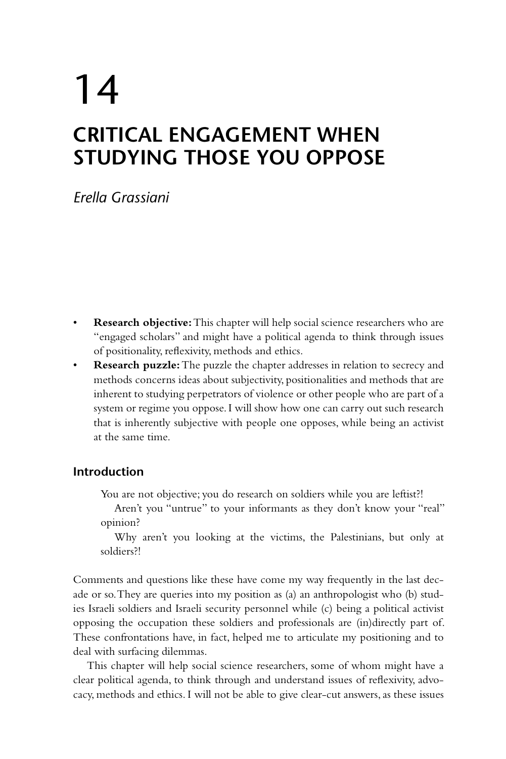# 14 **CRITICAL ENGAGEMENT WHEN STUDYING THOSE YOU OPPOSE**

*Erella Grassiani*

- **Research objective:** This chapter will help social science researchers who are "engaged scholars" and might have a political agenda to think through issues of positionality, reflexivity, methods and ethics.
- **Research puzzle:** The puzzle the chapter addresses in relation to secrecy and methods concerns ideas about subjectivity, positionalities and methods that are inherent to studying perpetrators of violence or other people who are part of a system or regime you oppose. I will show how one can carry out such research that is inherently subjective with people one opposes, while being an activist at the same time.

# **Introduction**

You are not objective; you do research on soldiers while you are leftist?!

Aren't you "untrue" to your informants as they don't know your "real" opinion?

Why aren't you looking at the victims, the Palestinians, but only at soldiers?!

Comments and questions like these have come my way frequently in the last decade or so. They are queries into my position as (a) an anthropologist who (b) studies Israeli soldiers and Israeli security personnel while (c) being a political activist opposing the occupation these soldiers and professionals are (in)directly part of. These confrontations have, in fact, helped me to articulate my positioning and to deal with surfacing dilemmas.

This chapter will help social science researchers, some of whom might have a clear political agenda, to think through and understand issues of reflexivity, advocacy, methods and ethics. I will not be able to give clear-cut answers, as these issues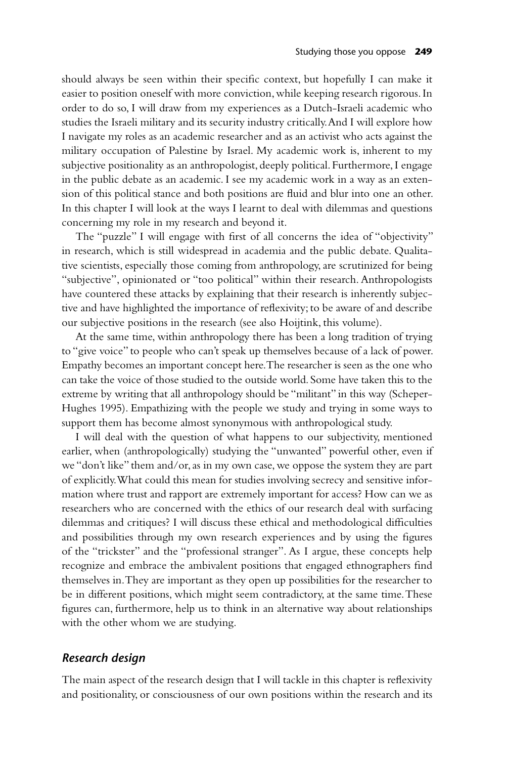should always be seen within their specific context, but hopefully I can make it easier to position oneself with more conviction, while keeping research rigorous. In order to do so, I will draw from my experiences as a Dutch-Israeli academic who studies the Israeli military and its security industry critically. And I will explore how I navigate my roles as an academic researcher and as an activist who acts against the military occupation of Palestine by Israel. My academic work is, inherent to my subjective positionality as an anthropologist, deeply political. Furthermore, I engage in the public debate as an academic. I see my academic work in a way as an extension of this political stance and both positions are fluid and blur into one an other. In this chapter I will look at the ways I learnt to deal with dilemmas and questions concerning my role in my research and beyond it.

The "puzzle" I will engage with first of all concerns the idea of "objectivity" in research, which is still widespread in academia and the public debate. Qualitative scientists, especially those coming from anthropology, are scrutinized for being "subjective", opinionated or "too political" within their research. Anthropologists have countered these attacks by explaining that their research is inherently subjective and have highlighted the importance of reflexivity; to be aware of and describe our subjective positions in the research (see also Hoijtink, this volume).

At the same time, within anthropology there has been a long tradition of trying to "give voice" to people who can't speak up themselves because of a lack of power. Empathy becomes an important concept here. The researcher is seen as the one who can take the voice of those studied to the outside world. Some have taken this to the extreme by writing that all anthropology should be "militant" in this way (Scheper-Hughes 1995). Empathizing with the people we study and trying in some ways to support them has become almost synonymous with anthropological study.

I will deal with the question of what happens to our subjectivity, mentioned earlier, when (anthropologically) studying the "unwanted" powerful other, even if we "don't like" them and/or, as in my own case, we oppose the system they are part of explicitly. What could this mean for studies involving secrecy and sensitive information where trust and rapport are extremely important for access? How can we as researchers who are concerned with the ethics of our research deal with surfacing dilemmas and critiques? I will discuss these ethical and methodological difficulties and possibilities through my own research experiences and by using the figures of the "trickster" and the "professional stranger". As I argue, these concepts help recognize and embrace the ambivalent positions that engaged ethnographers find themselves in. They are important as they open up possibilities for the researcher to be in different positions, which might seem contradictory, at the same time. These figures can, furthermore, help us to think in an alternative way about relationships with the other whom we are studying.

#### *Research design*

The main aspect of the research design that I will tackle in this chapter is reflexivity and positionality, or consciousness of our own positions within the research and its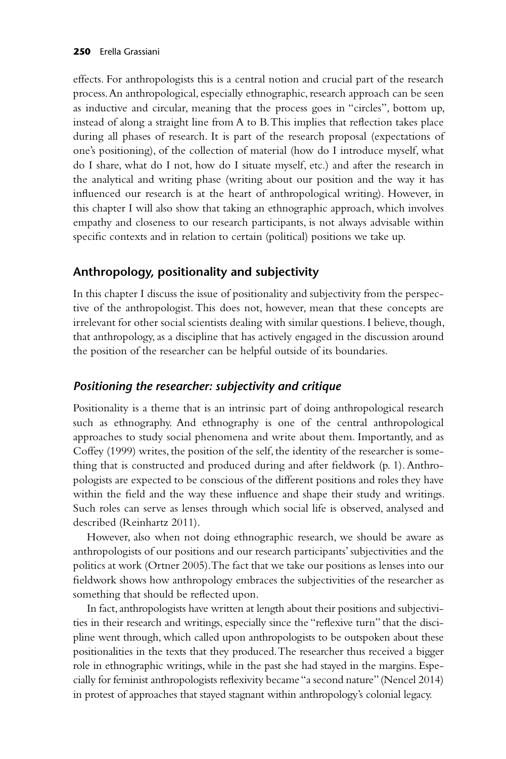effects. For anthropologists this is a central notion and crucial part of the research process. An anthropological, especially ethnographic, research approach can be seen as inductive and circular, meaning that the process goes in "circles", bottom up, instead of along a straight line from A to B. This implies that reflection takes place during all phases of research. It is part of the research proposal (expectations of one's positioning), of the collection of material (how do I introduce myself, what do I share, what do I not, how do I situate myself, etc.) and after the research in the analytical and writing phase (writing about our position and the way it has influenced our research is at the heart of anthropological writing). However, in this chapter I will also show that taking an ethnographic approach, which involves empathy and closeness to our research participants, is not always advisable within specific contexts and in relation to certain (political) positions we take up.

# **Anthropology, positionality and subjectivity**

In this chapter I discuss the issue of positionality and subjectivity from the perspective of the anthropologist. This does not, however, mean that these concepts are irrelevant for other social scientists dealing with similar questions. I believe, though, that anthropology, as a discipline that has actively engaged in the discussion around the position of the researcher can be helpful outside of its boundaries.

# *Positioning the researcher: subjectivity and critique*

Positionality is a theme that is an intrinsic part of doing anthropological research such as ethnography. And ethnography is one of the central anthropological approaches to study social phenomena and write about them. Importantly, and as Coffey (1999) writes, the position of the self, the identity of the researcher is something that is constructed and produced during and after fieldwork (p. 1). Anthropologists are expected to be conscious of the different positions and roles they have within the field and the way these influence and shape their study and writings. Such roles can serve as lenses through which social life is observed, analysed and described (Reinhartz 2011).

However, also when not doing ethnographic research, we should be aware as anthropologists of our positions and our research participants' subjectivities and the politics at work (Ortner 2005). The fact that we take our positions as lenses into our fieldwork shows how anthropology embraces the subjectivities of the researcher as something that should be reflected upon.

In fact, anthropologists have written at length about their positions and subjectivities in their research and writings, especially since the "reflexive turn" that the discipline went through, which called upon anthropologists to be outspoken about these positionalities in the texts that they produced. The researcher thus received a bigger role in ethnographic writings, while in the past she had stayed in the margins. Especially for feminist anthropologists reflexivity became "a second nature" (Nencel 2014) in protest of approaches that stayed stagnant within anthropology's colonial legacy.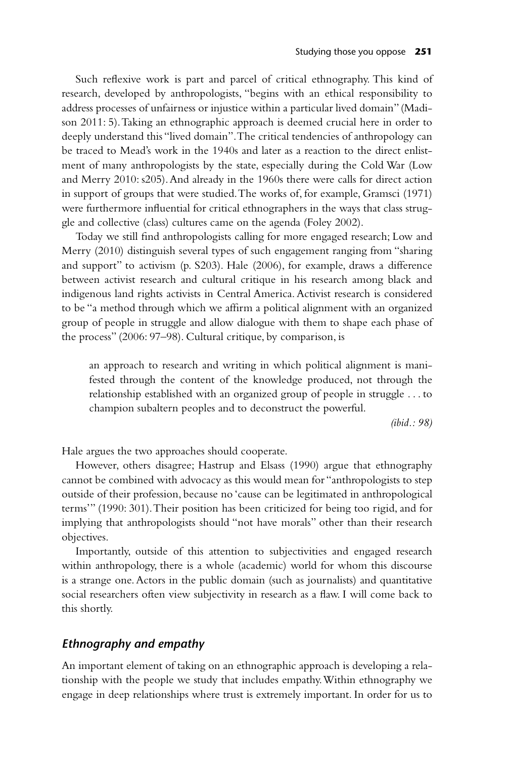Such reflexive work is part and parcel of critical ethnography. This kind of research, developed by anthropologists, "begins with an ethical responsibility to address processes of unfairness or injustice within a particular lived domain" (Madison 2011: 5). Taking an ethnographic approach is deemed crucial here in order to deeply understand this "lived domain". The critical tendencies of anthropology can be traced to Mead's work in the 1940s and later as a reaction to the direct enlistment of many anthropologists by the state, especially during the Cold War (Low and Merry 2010: s205). And already in the 1960s there were calls for direct action in support of groups that were studied. The works of, for example, Gramsci (1971) were furthermore influential for critical ethnographers in the ways that class struggle and collective (class) cultures came on the agenda (Foley 2002).

Today we still find anthropologists calling for more engaged research; Low and Merry (2010) distinguish several types of such engagement ranging from "sharing and support" to activism (p. S203). Hale (2006), for example, draws a difference between activist research and cultural critique in his research among black and indigenous land rights activists in Central America. Activist research is considered to be "a method through which we affirm a political alignment with an organized group of people in struggle and allow dialogue with them to shape each phase of the process" (2006: 97–98). Cultural critique, by comparison, is

an approach to research and writing in which political alignment is manifested through the content of the knowledge produced, not through the relationship established with an organized group of people in struggle . . . to champion subaltern peoples and to deconstruct the powerful.

*(ibid.: 98)*

Hale argues the two approaches should cooperate.

However, others disagree; Hastrup and Elsass (1990) argue that ethnography cannot be combined with advocacy as this would mean for "anthropologists to step outside of their profession, because no 'cause can be legitimated in anthropological terms'" (1990: 301). Their position has been criticized for being too rigid, and for implying that anthropologists should "not have morals" other than their research objectives.

Importantly, outside of this attention to subjectivities and engaged research within anthropology, there is a whole (academic) world for whom this discourse is a strange one. Actors in the public domain (such as journalists) and quantitative social researchers often view subjectivity in research as a flaw. I will come back to this shortly.

#### *Ethnography and empathy*

An important element of taking on an ethnographic approach is developing a relationship with the people we study that includes empathy. Within ethnography we engage in deep relationships where trust is extremely important. In order for us to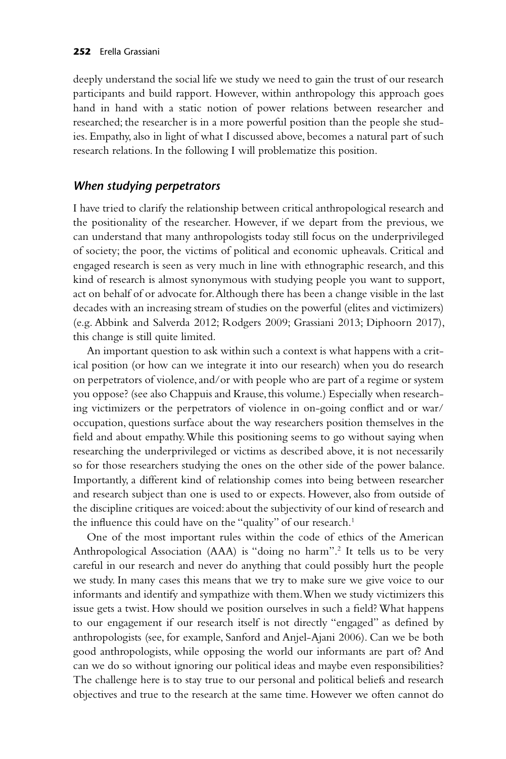deeply understand the social life we study we need to gain the trust of our research participants and build rapport. However, within anthropology this approach goes hand in hand with a static notion of power relations between researcher and researched; the researcher is in a more powerful position than the people she studies. Empathy, also in light of what I discussed above, becomes a natural part of such research relations. In the following I will problematize this position.

#### *When studying perpetrators*

I have tried to clarify the relationship between critical anthropological research and the positionality of the researcher. However, if we depart from the previous, we can understand that many anthropologists today still focus on the underprivileged of society; the poor, the victims of political and economic upheavals. Critical and engaged research is seen as very much in line with ethnographic research, and this kind of research is almost synonymous with studying people you want to support, act on behalf of or advocate for. Although there has been a change visible in the last decades with an increasing stream of studies on the powerful (elites and victimizers) (e.g. Abbink and Salverda 2012; Rodgers 2009; Grassiani 2013; Diphoorn 2017), this change is still quite limited.

An important question to ask within such a context is what happens with a critical position (or how can we integrate it into our research) when you do research on perpetrators of violence, and/or with people who are part of a regime or system you oppose? (see also Chappuis and Krause, this volume.) Especially when researching victimizers or the perpetrators of violence in on-going conflict and or war/ occupation, questions surface about the way researchers position themselves in the field and about empathy. While this positioning seems to go without saying when researching the underprivileged or victims as described above, it is not necessarily so for those researchers studying the ones on the other side of the power balance. Importantly, a different kind of relationship comes into being between researcher and research subject than one is used to or expects. However, also from outside of the discipline critiques are voiced: about the subjectivity of our kind of research and the influence this could have on the "quality" of our research.<sup>1</sup>

One of the most important rules within the code of ethics of the American Anthropological Association (AAA) is "doing no harm".2 It tells us to be very careful in our research and never do anything that could possibly hurt the people we study. In many cases this means that we try to make sure we give voice to our informants and identify and sympathize with them. When we study victimizers this issue gets a twist. How should we position ourselves in such a field? What happens to our engagement if our research itself is not directly "engaged" as defined by anthropologists (see, for example, Sanford and Anjel-Ajani 2006). Can we be both good anthropologists, while opposing the world our informants are part of? And can we do so without ignoring our political ideas and maybe even responsibilities? The challenge here is to stay true to our personal and political beliefs and research objectives and true to the research at the same time. However we often cannot do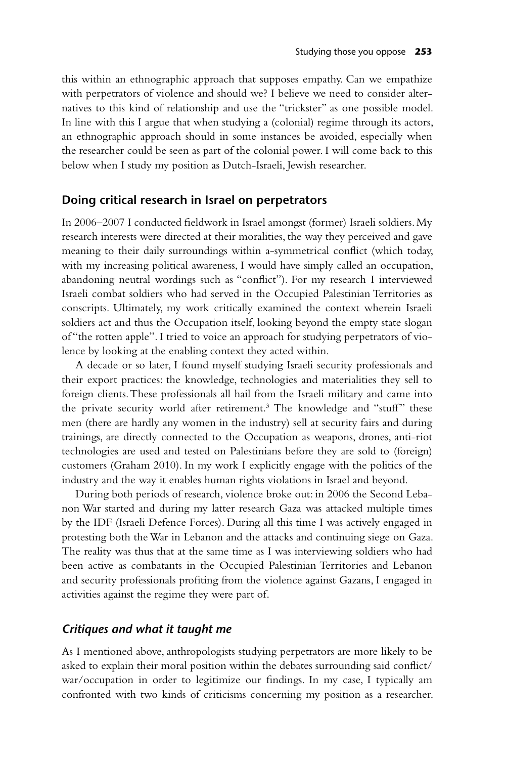this within an ethnographic approach that supposes empathy. Can we empathize with perpetrators of violence and should we? I believe we need to consider alternatives to this kind of relationship and use the "trickster" as one possible model. In line with this I argue that when studying a (colonial) regime through its actors, an ethnographic approach should in some instances be avoided, especially when the researcher could be seen as part of the colonial power. I will come back to this below when I study my position as Dutch-Israeli, Jewish researcher.

#### **Doing critical research in Israel on perpetrators**

In 2006–2007 I conducted fieldwork in Israel amongst (former) Israeli soldiers. My research interests were directed at their moralities, the way they perceived and gave meaning to their daily surroundings within a-symmetrical conflict (which today, with my increasing political awareness, I would have simply called an occupation, abandoning neutral wordings such as "conflict"). For my research I interviewed Israeli combat soldiers who had served in the Occupied Palestinian Territories as conscripts. Ultimately, my work critically examined the context wherein Israeli soldiers act and thus the Occupation itself, looking beyond the empty state slogan of "the rotten apple". I tried to voice an approach for studying perpetrators of violence by looking at the enabling context they acted within.

A decade or so later, I found myself studying Israeli security professionals and their export practices: the knowledge, technologies and materialities they sell to foreign clients. These professionals all hail from the Israeli military and came into the private security world after retirement.<sup>3</sup> The knowledge and "stuff" these men (there are hardly any women in the industry) sell at security fairs and during trainings, are directly connected to the Occupation as weapons, drones, anti-riot technologies are used and tested on Palestinians before they are sold to (foreign) customers (Graham 2010). In my work I explicitly engage with the politics of the industry and the way it enables human rights violations in Israel and beyond.

During both periods of research, violence broke out: in 2006 the Second Lebanon War started and during my latter research Gaza was attacked multiple times by the IDF (Israeli Defence Forces). During all this time I was actively engaged in protesting both the War in Lebanon and the attacks and continuing siege on Gaza. The reality was thus that at the same time as I was interviewing soldiers who had been active as combatants in the Occupied Palestinian Territories and Lebanon and security professionals profiting from the violence against Gazans, I engaged in activities against the regime they were part of.

#### *Critiques and what it taught me*

As I mentioned above, anthropologists studying perpetrators are more likely to be asked to explain their moral position within the debates surrounding said conflict/ war/occupation in order to legitimize our findings. In my case, I typically am confronted with two kinds of criticisms concerning my position as a researcher.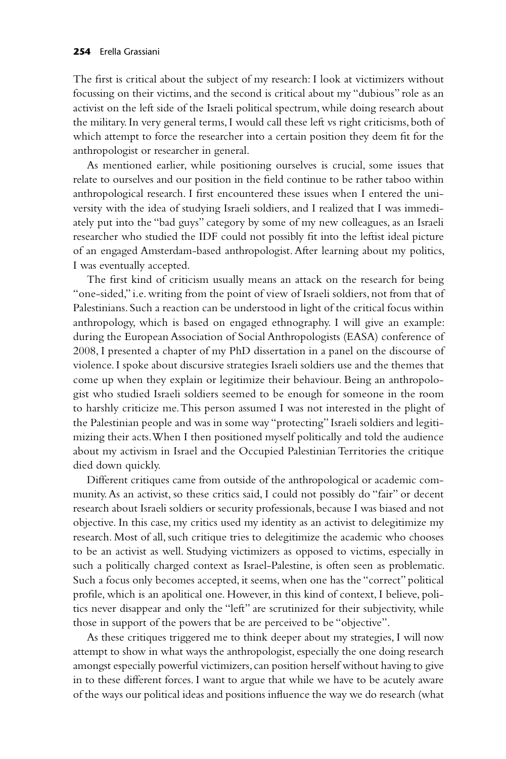The first is critical about the subject of my research: I look at victimizers without focussing on their victims, and the second is critical about my "dubious" role as an activist on the left side of the Israeli political spectrum, while doing research about the military. In very general terms, I would call these left vs right criticisms, both of which attempt to force the researcher into a certain position they deem fit for the anthropologist or researcher in general.

As mentioned earlier, while positioning ourselves is crucial, some issues that relate to ourselves and our position in the field continue to be rather taboo within anthropological research. I first encountered these issues when I entered the university with the idea of studying Israeli soldiers, and I realized that I was immediately put into the "bad guys" category by some of my new colleagues, as an Israeli researcher who studied the IDF could not possibly fit into the leftist ideal picture of an engaged Amsterdam-based anthropologist. After learning about my politics, I was eventually accepted.

The first kind of criticism usually means an attack on the research for being "one-sided," i.e. writing from the point of view of Israeli soldiers, not from that of Palestinians. Such a reaction can be understood in light of the critical focus within anthropology, which is based on engaged ethnography. I will give an example: during the European Association of Social Anthropologists (EASA) conference of 2008, I presented a chapter of my PhD dissertation in a panel on the discourse of violence. I spoke about discursive strategies Israeli soldiers use and the themes that come up when they explain or legitimize their behaviour. Being an anthropologist who studied Israeli soldiers seemed to be enough for someone in the room to harshly criticize me. This person assumed I was not interested in the plight of the Palestinian people and was in some way "protecting" Israeli soldiers and legitimizing their acts. When I then positioned myself politically and told the audience about my activism in Israel and the Occupied Palestinian Territories the critique died down quickly.

Different critiques came from outside of the anthropological or academic community. As an activist, so these critics said, I could not possibly do "fair" or decent research about Israeli soldiers or security professionals, because I was biased and not objective. In this case, my critics used my identity as an activist to delegitimize my research. Most of all, such critique tries to delegitimize the academic who chooses to be an activist as well. Studying victimizers as opposed to victims, especially in such a politically charged context as Israel-Palestine, is often seen as problematic. Such a focus only becomes accepted, it seems, when one has the "correct" political profile, which is an apolitical one. However, in this kind of context, I believe, politics never disappear and only the "left" are scrutinized for their subjectivity, while those in support of the powers that be are perceived to be "objective".

As these critiques triggered me to think deeper about my strategies, I will now attempt to show in what ways the anthropologist, especially the one doing research amongst especially powerful victimizers, can position herself without having to give in to these different forces. I want to argue that while we have to be acutely aware of the ways our political ideas and positions influence the way we do research (what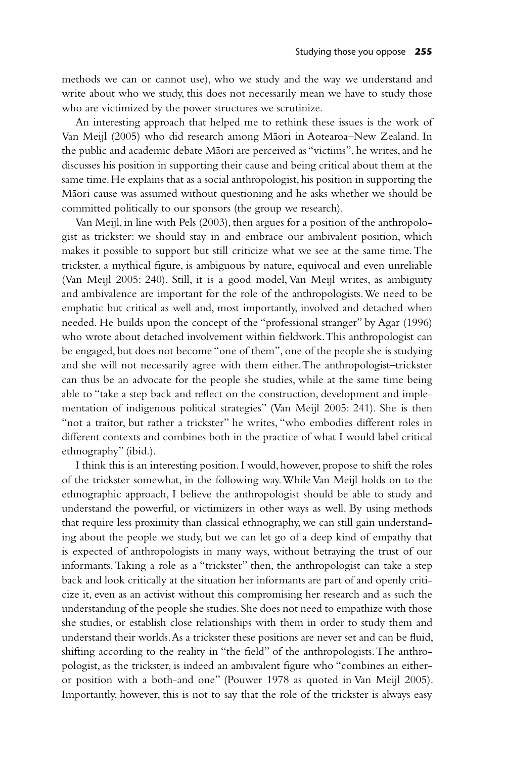methods we can or cannot use), who we study and the way we understand and write about who we study, this does not necessarily mean we have to study those who are victimized by the power structures we scrutinize.

An interesting approach that helped me to rethink these issues is the work of Van Meijl (2005) who did research among Māori in Aotearoa–New Zealand. In the public and academic debate Māori are perceived as "victims", he writes, and he discusses his position in supporting their cause and being critical about them at the same time. He explains that as a social anthropologist, his position in supporting the Māori cause was assumed without questioning and he asks whether we should be committed politically to our sponsors (the group we research).

Van Meijl, in line with Pels (2003), then argues for a position of the anthropologist as trickster: we should stay in and embrace our ambivalent position, which makes it possible to support but still criticize what we see at the same time. The trickster, a mythical figure, is ambiguous by nature, equivocal and even unreliable (Van Meijl 2005: 240). Still, it is a good model, Van Meijl writes, as ambiguity and ambivalence are important for the role of the anthropologists. We need to be emphatic but critical as well and, most importantly, involved and detached when needed. He builds upon the concept of the "professional stranger" by Agar (1996) who wrote about detached involvement within fieldwork. This anthropologist can be engaged, but does not become "one of them", one of the people she is studying and she will not necessarily agree with them either. The anthropologist–trickster can thus be an advocate for the people she studies, while at the same time being able to "take a step back and reflect on the construction, development and implementation of indigenous political strategies" (Van Meijl 2005: 241). She is then "not a traitor, but rather a trickster" he writes, "who embodies different roles in different contexts and combines both in the practice of what I would label critical ethnography" (ibid.).

I think this is an interesting position. I would, however, propose to shift the roles of the trickster somewhat, in the following way. While Van Meijl holds on to the ethnographic approach, I believe the anthropologist should be able to study and understand the powerful, or victimizers in other ways as well. By using methods that require less proximity than classical ethnography, we can still gain understanding about the people we study, but we can let go of a deep kind of empathy that is expected of anthropologists in many ways, without betraying the trust of our informants. Taking a role as a "trickster" then, the anthropologist can take a step back and look critically at the situation her informants are part of and openly criticize it, even as an activist without this compromising her research and as such the understanding of the people she studies. She does not need to empathize with those she studies, or establish close relationships with them in order to study them and understand their worlds. As a trickster these positions are never set and can be fluid, shifting according to the reality in "the field" of the anthropologists. The anthropologist, as the trickster, is indeed an ambivalent figure who "combines an eitheror position with a both-and one" (Pouwer 1978 as quoted in Van Meijl 2005). Importantly, however, this is not to say that the role of the trickster is always easy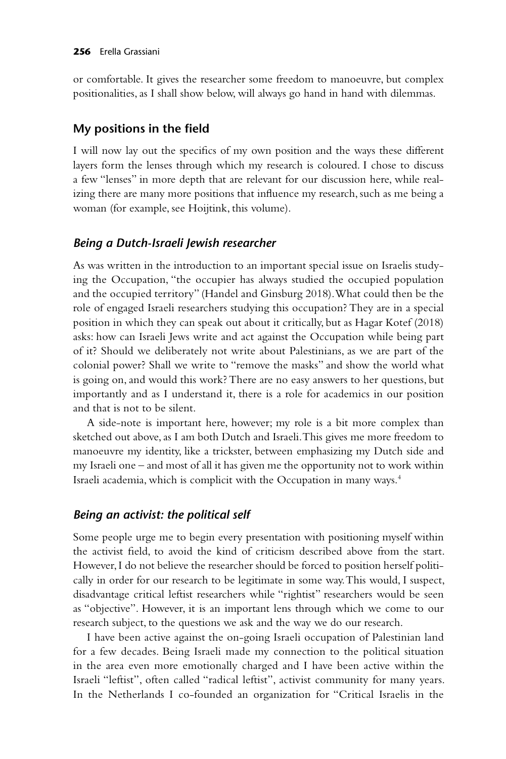or comfortable. It gives the researcher some freedom to manoeuvre, but complex positionalities, as I shall show below, will always go hand in hand with dilemmas.

## **My positions in the field**

I will now lay out the specifics of my own position and the ways these different layers form the lenses through which my research is coloured. I chose to discuss a few "lenses" in more depth that are relevant for our discussion here, while realizing there are many more positions that influence my research, such as me being a woman (for example, see Hoijtink, this volume).

# *Being a Dutch-Israeli Jewish researcher*

As was written in the introduction to an important special issue on Israelis studying the Occupation, "the occupier has always studied the occupied population and the occupied territory" (Handel and Ginsburg 2018). What could then be the role of engaged Israeli researchers studying this occupation? They are in a special position in which they can speak out about it critically, but as Hagar Kotef (2018) asks: how can Israeli Jews write and act against the Occupation while being part of it? Should we deliberately not write about Palestinians, as we are part of the colonial power? Shall we write to "remove the masks" and show the world what is going on, and would this work? There are no easy answers to her questions, but importantly and as I understand it, there is a role for academics in our position and that is not to be silent.

A side-note is important here, however; my role is a bit more complex than sketched out above, as I am both Dutch and Israeli. This gives me more freedom to manoeuvre my identity, like a trickster, between emphasizing my Dutch side and my Israeli one – and most of all it has given me the opportunity not to work within Israeli academia, which is complicit with the Occupation in many ways.4

# *Being an activist: the political self*

Some people urge me to begin every presentation with positioning myself within the activist field, to avoid the kind of criticism described above from the start. However, I do not believe the researcher should be forced to position herself politically in order for our research to be legitimate in some way. This would, I suspect, disadvantage critical leftist researchers while "rightist" researchers would be seen as "objective". However, it is an important lens through which we come to our research subject, to the questions we ask and the way we do our research.

I have been active against the on-going Israeli occupation of Palestinian land for a few decades. Being Israeli made my connection to the political situation in the area even more emotionally charged and I have been active within the Israeli "leftist", often called "radical leftist", activist community for many years. In the Netherlands I co-founded an organization for "Critical Israelis in the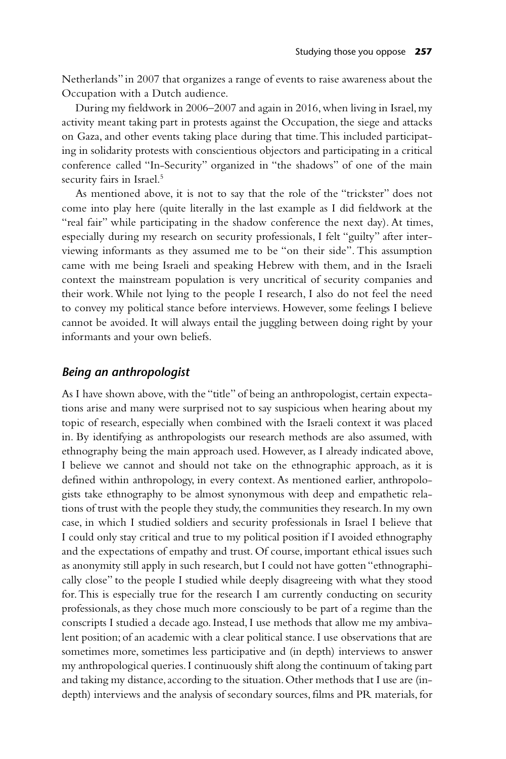Netherlands" in 2007 that organizes a range of events to raise awareness about the Occupation with a Dutch audience.

During my fieldwork in 2006–2007 and again in 2016, when living in Israel, my activity meant taking part in protests against the Occupation, the siege and attacks on Gaza, and other events taking place during that time. This included participating in solidarity protests with conscientious objectors and participating in a critical conference called "In-Security" organized in "the shadows" of one of the main security fairs in Israel.<sup>5</sup>

As mentioned above, it is not to say that the role of the "trickster" does not come into play here (quite literally in the last example as I did fieldwork at the "real fair" while participating in the shadow conference the next day). At times, especially during my research on security professionals, I felt "guilty" after interviewing informants as they assumed me to be "on their side". This assumption came with me being Israeli and speaking Hebrew with them, and in the Israeli context the mainstream population is very uncritical of security companies and their work. While not lying to the people I research, I also do not feel the need to convey my political stance before interviews. However, some feelings I believe cannot be avoided. It will always entail the juggling between doing right by your informants and your own beliefs.

#### *Being an anthropologist*

As I have shown above, with the "title" of being an anthropologist, certain expectations arise and many were surprised not to say suspicious when hearing about my topic of research, especially when combined with the Israeli context it was placed in. By identifying as anthropologists our research methods are also assumed, with ethnography being the main approach used. However, as I already indicated above, I believe we cannot and should not take on the ethnographic approach, as it is defined within anthropology, in every context. As mentioned earlier, anthropologists take ethnography to be almost synonymous with deep and empathetic relations of trust with the people they study, the communities they research. In my own case, in which I studied soldiers and security professionals in Israel I believe that I could only stay critical and true to my political position if I avoided ethnography and the expectations of empathy and trust. Of course, important ethical issues such as anonymity still apply in such research, but I could not have gotten "ethnographically close" to the people I studied while deeply disagreeing with what they stood for. This is especially true for the research I am currently conducting on security professionals, as they chose much more consciously to be part of a regime than the conscripts I studied a decade ago. Instead, I use methods that allow me my ambivalent position; of an academic with a clear political stance. I use observations that are sometimes more, sometimes less participative and (in depth) interviews to answer my anthropological queries. I continuously shift along the continuum of taking part and taking my distance, according to the situation. Other methods that I use are (indepth) interviews and the analysis of secondary sources, films and PR materials, for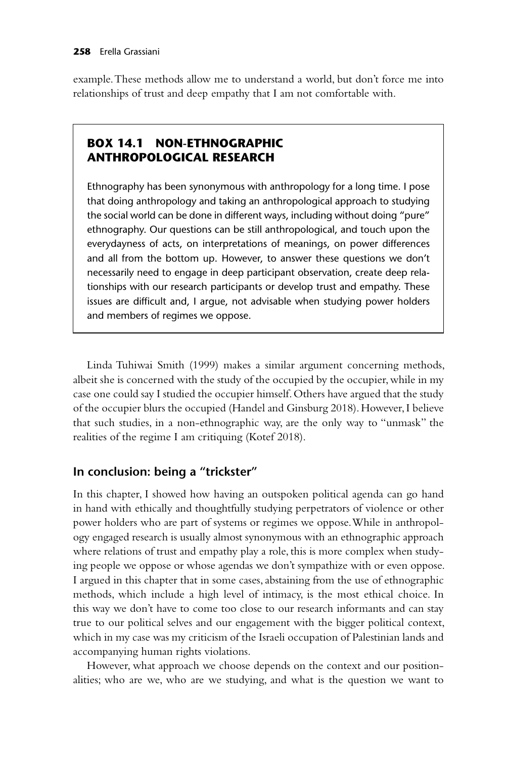example. These methods allow me to understand a world, but don't force me into relationships of trust and deep empathy that I am not comfortable with.

# **BOX 14.1 NON-ETHNOGRAPHIC ANTHROPOLOGICAL RESEARCH**

Ethnography has been synonymous with anthropology for a long time. I pose that doing anthropology and taking an anthropological approach to studying the social world can be done in different ways, including without doing "pure" ethnography. Our questions can be still anthropological, and touch upon the everydayness of acts, on interpretations of meanings, on power differences and all from the bottom up. However, to answer these questions we don't necessarily need to engage in deep participant observation, create deep relationships with our research participants or develop trust and empathy. These issues are difficult and, I argue, not advisable when studying power holders and members of regimes we oppose.

Linda Tuhiwai Smith (1999) makes a similar argument concerning methods, albeit she is concerned with the study of the occupied by the occupier, while in my case one could say I studied the occupier himself. Others have argued that the study of the occupier blurs the occupied (Handel and Ginsburg 2018). However, I believe that such studies, in a non-ethnographic way, are the only way to "unmask" the realities of the regime I am critiquing (Kotef 2018).

# **In conclusion: being a "trickster"**

In this chapter, I showed how having an outspoken political agenda can go hand in hand with ethically and thoughtfully studying perpetrators of violence or other power holders who are part of systems or regimes we oppose. While in anthropology engaged research is usually almost synonymous with an ethnographic approach where relations of trust and empathy play a role, this is more complex when studying people we oppose or whose agendas we don't sympathize with or even oppose. I argued in this chapter that in some cases, abstaining from the use of ethnographic methods, which include a high level of intimacy, is the most ethical choice. In this way we don't have to come too close to our research informants and can stay true to our political selves and our engagement with the bigger political context, which in my case was my criticism of the Israeli occupation of Palestinian lands and accompanying human rights violations.

However, what approach we choose depends on the context and our positionalities; who are we, who are we studying, and what is the question we want to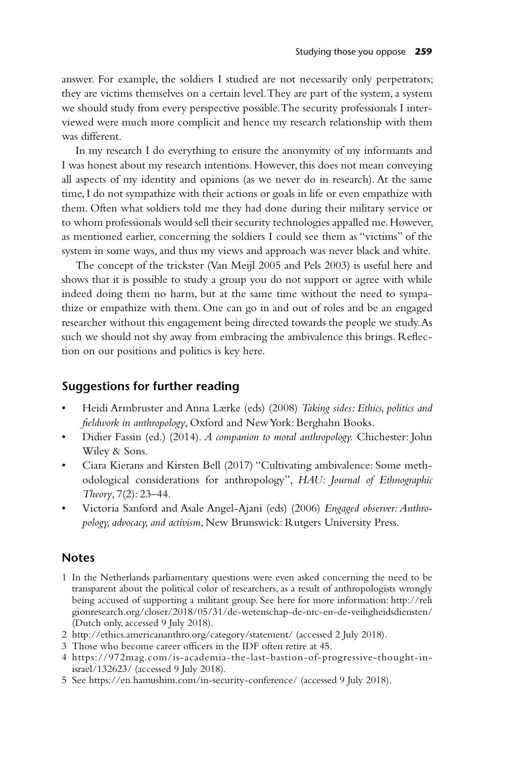answer. For example, the soldiers I studied are not necessarily only perpetrators; they are victims themselves on a certain level. They are part of the system, a system we should study from every perspective possible. The security professionals I interviewed were much more complicit and hence my research relationship with them was different.

In my research I do everything to ensure the anonymity of my informants and I was honest about my research intentions. However, this does not mean conveying all aspects of my identity and opinions (as we never do in research). At the same time, I do not sympathize with their actions or goals in life or even empathize with them. Often what soldiers told me they had done during their military service or to whom professionals would sell their security technologies appalled me. However, as mentioned earlier, concerning the soldiers I could see them as "victims" of the system in some ways, and thus my views and approach was never black and white.

The concept of the trickster (Van Meijl 2005 and Pels 2003) is useful here and shows that it is possible to study a group you do not support or agree with while indeed doing them no harm, but at the same time without the need to sympathize or empathize with them. One can go in and out of roles and be an engaged researcher without this engagement being directed towards the people we study. As such we should not shy away from embracing the ambivalence this brings. Reflection on our positions and politics is key here.

### **Suggestions for further reading**

- Heidi Armbruster and Anna Lærke (eds) (2008) *Taking sides: Ethics, politics and fieldwork in anthropology*, Oxford and New York: Berghahn Books.
- Didier Fassin (ed.) (2014). *A companion to moral anthropology.* Chichester: John Wiley & Sons.
- Ciara Kierans and Kirsten Bell (2017) "Cultivating ambivalence: Some methodological considerations for anthropology", *HAU: Journal of Ethnographic Theory*, 7(2): 23–44.
- Victoria Sanford and Asale Angel-Ajani (eds) (2006) *Engaged observer: Anthropology, advocacy, and activism*, New Brunswick: Rutgers University Press.

#### **Notes**

- 1 In the Netherlands parliamentary questions were even asked concerning the need to be transparent about the political color of researchers, as a result of anthropologists wrongly being accused of supporting a militant group. See here for more information: [http://reli](http://religionresearch.org) [gionresearch.org/closer/2018/05/31/de-wetenschap-de-nrc-en-de-veiligheidsdiensten/](http://religionresearch.org) (Dutch only, accessed 9 July 2018).
- 2 [http://ethics.americananthro.org/category/statement/](http://ethics.americananthro.org) (accessed 2 July 2018).
- 3 Those who become career officers in the IDF often retire at 45.
- 4 [https://972mag.com/is-academia-the-last-bastion-of-progressive-thought-in](https://972mag.com)[israel/132623/](https://972mag.com) (accessed 9 July 2018).
- 5 See [https://en.hamushim.com/in-security-conference/](https://en.hamushim.com) (accessed 9 July 2018).